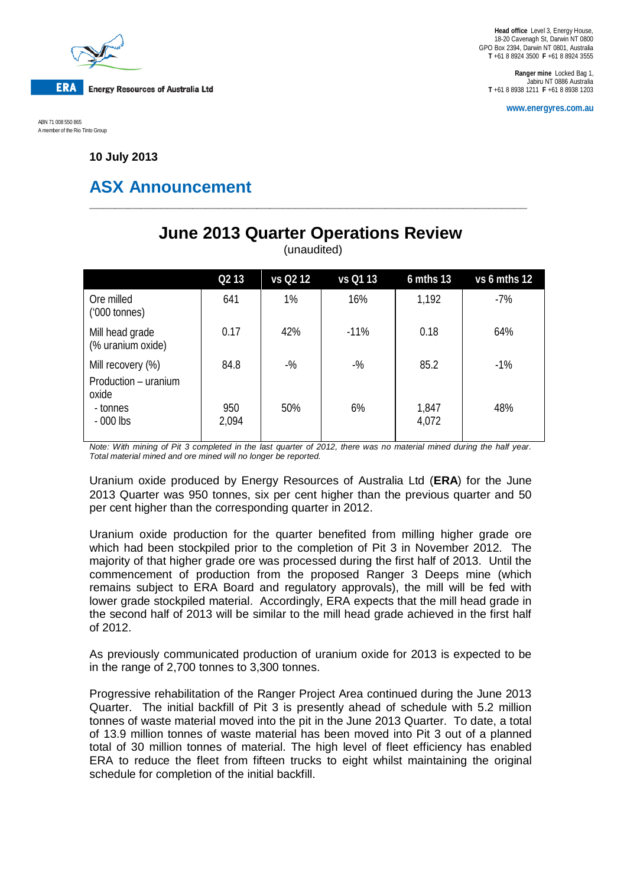

**Head office** Level 3, Energy House, 18-20 Cavenagh St, Darwin NT 0800 GPO Box 2394, Darwin NT 0801, Australia **T** +61 8 8924 3500 **F** +61 8 8924 3555

**Ranger mine** Locked Bag 1, Jabiru NT 0886 Australia **T** +61 8 8938 1211 **F** +61 8 8938 1203

**www.energyres.com.au**

ABN 71 008 550 865 A member of the Rio Tinto Group

**10 July 2013**

# **ASX Announcement**

## **June 2013 Quarter Operations Review**

**\_\_\_\_\_\_\_\_\_\_\_\_\_\_\_\_\_\_\_\_\_\_\_\_\_\_\_\_\_\_\_\_\_\_\_\_\_\_\_\_\_\_\_\_\_\_\_\_\_\_\_\_\_\_\_\_\_\_\_\_\_\_\_\_\_\_\_\_**

(unaudited)

|                                                    | Q <sub>2</sub> 13 | vs Q2 12 | vs Q1 13 | 6 mths 13      | vs 6 mths 12 |
|----------------------------------------------------|-------------------|----------|----------|----------------|--------------|
| Ore milled<br>$(000 \text{ tonnes})$               | 641               | 1%       | 16%      | 1,192          | $-7%$        |
| Mill head grade<br>(% uranium oxide)               | 0.17              | 42%      | $-11%$   | 0.18           | 64%          |
| Mill recovery (%)<br>Production - uranium<br>oxide | 84.8              | $-$ %    | $-$ %    | 85.2           | $-1\%$       |
| - tonnes<br>$-000$ lbs                             | 950<br>2,094      | 50%      | 6%       | 1,847<br>4,072 | 48%          |

*Note: With mining of Pit 3 completed in the last quarter of 2012, there was no material mined during the half year. Total material mined and ore mined will no longer be reported.*

Uranium oxide produced by Energy Resources of Australia Ltd (**ERA**) for the June 2013 Quarter was 950 tonnes, six per cent higher than the previous quarter and 50 per cent higher than the corresponding quarter in 2012.

Uranium oxide production for the quarter benefited from milling higher grade ore which had been stockpiled prior to the completion of Pit 3 in November 2012. The majority of that higher grade ore was processed during the first half of 2013. Until the commencement of production from the proposed Ranger 3 Deeps mine (which remains subject to ERA Board and regulatory approvals), the mill will be fed with lower grade stockpiled material. Accordingly, ERA expects that the mill head grade in the second half of 2013 will be similar to the mill head grade achieved in the first half of 2012.

As previously communicated production of uranium oxide for 2013 is expected to be in the range of 2,700 tonnes to 3,300 tonnes.

Progressive rehabilitation of the Ranger Project Area continued during the June 2013 Quarter. The initial backfill of Pit 3 is presently ahead of schedule with 5.2 million tonnes of waste material moved into the pit in the June 2013 Quarter. To date, a total of 13.9 million tonnes of waste material has been moved into Pit 3 out of a planned total of 30 million tonnes of material. The high level of fleet efficiency has enabled ERA to reduce the fleet from fifteen trucks to eight whilst maintaining the original schedule for completion of the initial backfill.